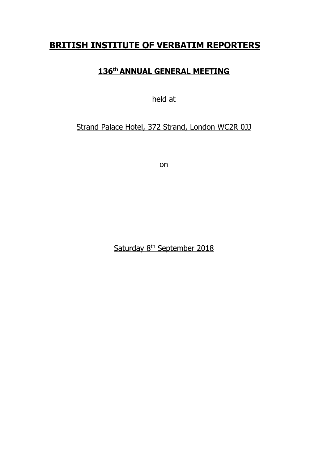# **BRITISH INSTITUTE OF VERBATIM REPORTERS**

## **136 th ANNUAL GENERAL MEETING**

## held at

# Strand Palace Hotel, 372 Strand, London WC2R 0JJ

on

Saturday 8<sup>th</sup> September 2018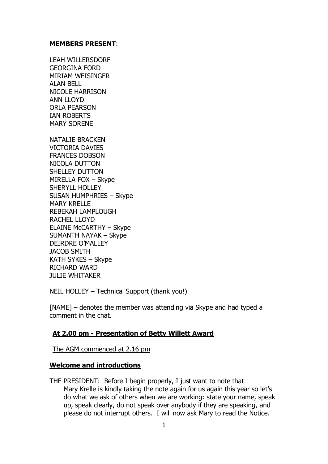#### **MEMBERS PRESENT**:

LEAH WILLERSDORF GEORGINA FORD MIRIAM WEISINGER ALAN BELL NICOLE HARRISON ANN LLOYD ORLA PEARSON IAN ROBERTS MARY SORENE

NATALIE BRACKEN VICTORIA DAVIES FRANCES DOBSON NICOLA DUTTON SHELLEY DUTTON MIRELLA FOX – Skype SHERYLL HOLLEY SUSAN HUMPHRIES – Skype MARY KRELLE REBEKAH LAMPLOUGH RACHEL LLOYD ELAINE McCARTHY – Skype SUMANTH NAYAK – Skype DEIRDRE O'MALLEY JACOB SMITH KATH SYKES – Skype RICHARD WARD JULIE WHITAKER

NEIL HOLLEY – Technical Support (thank you!)

[NAME] – denotes the member was attending via Skype and had typed a comment in the chat.

## **At 2.00 pm - Presentation of Betty Willett Award**

The AGM commenced at 2.16 pm

## **Welcome and introductions**

THE PRESIDENT: Before I begin properly, I just want to note that Mary Krelle is kindly taking the note again for us again this year so let's do what we ask of others when we are working: state your name, speak up, speak clearly, do not speak over anybody if they are speaking, and please do not interrupt others. I will now ask Mary to read the Notice.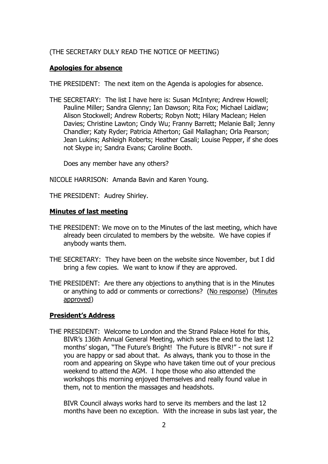## (THE SECRETARY DULY READ THE NOTICE OF MEETING)

## **Apologies for absence**

THE PRESIDENT: The next item on the Agenda is apologies for absence.

THE SECRETARY: The list I have here is: Susan McIntyre; Andrew Howell; Pauline Miller; Sandra Glenny; Ian Dawson; Rita Fox; Michael Laidlaw; Alison Stockwell; Andrew Roberts; Robyn Nott; Hilary Maclean; Helen Davies; Christine Lawton; Cindy Wu; Franny Barrett; Melanie Ball; Jenny Chandler; Katy Ryder; Patricia Atherton; Gail Mallaghan; Orla Pearson; Jean Lukins; Ashleigh Roberts; Heather Casali; Louise Pepper, if she does not Skype in; Sandra Evans; Caroline Booth.

Does any member have any others?

NICOLE HARRISON: Amanda Bavin and Karen Young.

THE PRESIDENT: Audrey Shirley.

#### **Minutes of last meeting**

- THE PRESIDENT: We move on to the Minutes of the last meeting, which have already been circulated to members by the website. We have copies if anybody wants them.
- THE SECRETARY: They have been on the website since November, but I did bring a few copies. We want to know if they are approved.
- THE PRESIDENT: Are there any objections to anything that is in the Minutes or anything to add or comments or corrections? (No response) (Minutes approved)

## **President's Address**

THE PRESIDENT: Welcome to London and the Strand Palace Hotel for this, BIVR's 136th Annual General Meeting, which sees the end to the last 12 months' slogan, "The Future's Bright! The Future is BIVR!" - not sure if you are happy or sad about that. As always, thank you to those in the room and appearing on Skype who have taken time out of your precious weekend to attend the AGM. I hope those who also attended the workshops this morning enjoyed themselves and really found value in them, not to mention the massages and headshots.

BIVR Council always works hard to serve its members and the last 12 months have been no exception. With the increase in subs last year, the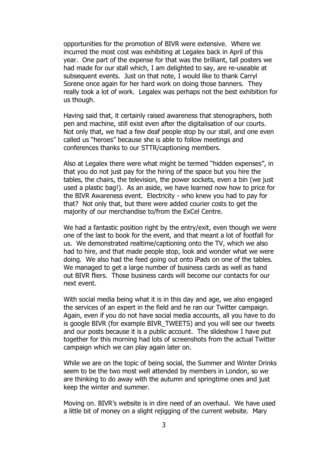opportunities for the promotion of BIVR were extensive. Where we incurred the most cost was exhibiting at Legalex back in April of this year. One part of the expense for that was the brilliant, tall posters we had made for our stall which, I am delighted to say, are re-useable at subsequent events. Just on that note, I would like to thank Carryl Sorene once again for her hard work on doing those banners. They really took a lot of work. Legalex was perhaps not the best exhibition for us though.

Having said that, it certainly raised awareness that stenographers, both pen and machine, still exist even after the digitalisation of our courts. Not only that, we had a few deaf people stop by our stall, and one even called us "heroes" because she is able to follow meetings and conferences thanks to our STTR/captioning members.

Also at Legalex there were what might be termed "hidden expenses", in that you do not just pay for the hiring of the space but you hire the tables, the chairs, the television, the power sockets, even a bin (we just used a plastic bag!). As an aside, we have learned now how to price for the BIVR Awareness event. Electricity - who knew you had to pay for that? Not only that, but there were added courier costs to get the majority of our merchandise to/from the ExCel Centre.

We had a fantastic position right by the entry/exit, even though we were one of the last to book for the event, and that meant a lot of footfall for us. We demonstrated realtime/captioning onto the TV, which we also had to hire, and that made people stop, look and wonder what we were doing. We also had the feed going out onto iPads on one of the tables. We managed to get a large number of business cards as well as hand out BIVR fliers. Those business cards will become our contacts for our next event.

With social media being what it is in this day and age, we also engaged the services of an expert in the field and he ran our Twitter campaign. Again, even if you do not have social media accounts, all you have to do is google BIVR (for example BIVR\_TWEETS) and you will see our tweets and our posts because it is a public account. The slideshow I have put together for this morning had lots of screenshots from the actual Twitter campaign which we can play again later on.

While we are on the topic of being social, the Summer and Winter Drinks seem to be the two most well attended by members in London, so we are thinking to do away with the autumn and springtime ones and just keep the winter and summer.

Moving on. BIVR's website is in dire need of an overhaul. We have used a little bit of money on a slight rejigging of the current website. Mary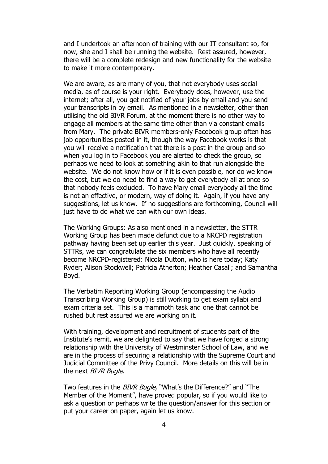and I undertook an afternoon of training with our IT consultant so, for now, she and I shall be running the website. Rest assured, however, there will be a complete redesign and new functionality for the website to make it more contemporary.

We are aware, as are many of you, that not everybody uses social media, as of course is your right. Everybody does, however, use the internet; after all, you get notified of your jobs by email and you send your transcripts in by email. As mentioned in a newsletter, other than utilising the old BIVR Forum, at the moment there is no other way to engage all members at the same time other than via constant emails from Mary. The private BIVR members-only Facebook group often has job opportunities posted in it, though the way Facebook works is that you will receive a notification that there is a post in the group and so when you log in to Facebook you are alerted to check the group, so perhaps we need to look at something akin to that run alongside the website. We do not know how or if it is even possible, nor do we know the cost, but we do need to find a way to get everybody all at once so that nobody feels excluded. To have Mary email everybody all the time is not an effective, or modern, way of doing it. Again, if you have any suggestions, let us know. If no suggestions are forthcoming, Council will just have to do what we can with our own ideas.

The Working Groups: As also mentioned in a newsletter, the STTR Working Group has been made defunct due to a NRCPD registration pathway having been set up earlier this year. Just quickly, speaking of STTRs, we can congratulate the six members who have all recently become NRCPD-registered: Nicola Dutton, who is here today; Katy Ryder; Alison Stockwell; Patricia Atherton; Heather Casali; and Samantha Boyd.

The Verbatim Reporting Working Group (encompassing the Audio Transcribing Working Group) is still working to get exam syllabi and exam criteria set. This is a mammoth task and one that cannot be rushed but rest assured we are working on it.

With training, development and recruitment of students part of the Institute's remit, we are delighted to say that we have forged a strong relationship with the University of Westminster School of Law, and we are in the process of securing a relationship with the Supreme Court and Judicial Committee of the Privy Council. More details on this will be in the next BIVR Bugle.

Two features in the BIVR Bugle, "What's the Difference?" and "The Member of the Moment", have proved popular, so if you would like to ask a question or perhaps write the question/answer for this section or put your career on paper, again let us know.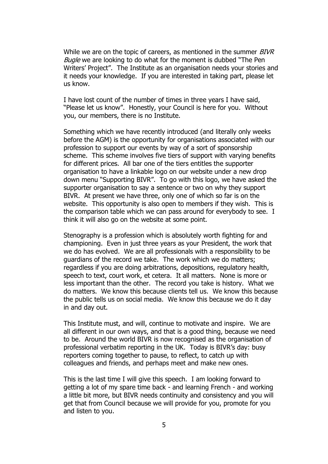While we are on the topic of careers, as mentioned in the summer BIVR Bugle we are looking to do what for the moment is dubbed "The Pen Writers' Project". The Institute as an organisation needs your stories and it needs your knowledge. If you are interested in taking part, please let us know.

I have lost count of the number of times in three years I have said, "Please let us know". Honestly, your Council is here for you. Without you, our members, there is no Institute.

Something which we have recently introduced (and literally only weeks before the AGM) is the opportunity for organisations associated with our profession to support our events by way of a sort of sponsorship scheme. This scheme involves five tiers of support with varying benefits for different prices. All bar one of the tiers entitles the supporter organisation to have a linkable logo on our website under a new drop down menu "Supporting BIVR". To go with this logo, we have asked the supporter organisation to say a sentence or two on why they support BIVR. At present we have three, only one of which so far is on the website. This opportunity is also open to members if they wish. This is the comparison table which we can pass around for everybody to see. I think it will also go on the website at some point.

Stenography is a profession which is absolutely worth fighting for and championing. Even in just three years as your President, the work that we do has evolved. We are all professionals with a responsibility to be guardians of the record we take. The work which we do matters; regardless if you are doing arbitrations, depositions, regulatory health, speech to text, court work, et cetera. It all matters. None is more or less important than the other. The record you take is history. What we do matters. We know this because clients tell us. We know this because the public tells us on social media. We know this because we do it day in and day out.

This Institute must, and will, continue to motivate and inspire. We are all different in our own ways, and that is a good thing, because we need to be. Around the world BIVR is now recognised as the organisation of professional verbatim reporting in the UK. Today is BIVR's day: busy reporters coming together to pause, to reflect, to catch up with colleagues and friends, and perhaps meet and make new ones.

This is the last time I will give this speech. I am looking forward to getting a lot of my spare time back - and learning French - and working a little bit more, but BIVR needs continuity and consistency and you will get that from Council because we will provide for you, promote for you and listen to you.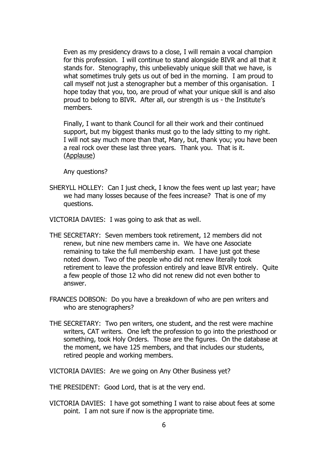Even as my presidency draws to a close, I will remain a vocal champion for this profession. I will continue to stand alongside BIVR and all that it stands for. Stenography, this unbelievably unique skill that we have, is what sometimes truly gets us out of bed in the morning. I am proud to call myself not just a stenographer but a member of this organisation. I hope today that you, too, are proud of what your unique skill is and also proud to belong to BIVR. After all, our strength is us - the Institute's members.

Finally, I want to thank Council for all their work and their continued support, but my biggest thanks must go to the lady sitting to my right. I will not say much more than that, Mary, but, thank you; you have been a real rock over these last three years. Thank you. That is it. (Applause)

Any questions?

SHERYLL HOLLEY: Can I just check, I know the fees went up last year; have we had many losses because of the fees increase? That is one of my questions.

VICTORIA DAVIES: I was going to ask that as well.

- THE SECRETARY: Seven members took retirement, 12 members did not renew, but nine new members came in. We have one Associate remaining to take the full membership exam. I have just got these noted down. Two of the people who did not renew literally took retirement to leave the profession entirely and leave BIVR entirely. Quite a few people of those 12 who did not renew did not even bother to answer.
- FRANCES DOBSON: Do you have a breakdown of who are pen writers and who are stenographers?
- THE SECRETARY: Two pen writers, one student, and the rest were machine writers, CAT writers. One left the profession to go into the priesthood or something, took Holy Orders. Those are the figures. On the database at the moment, we have 125 members, and that includes our students, retired people and working members.

VICTORIA DAVIES: Are we going on Any Other Business yet?

THE PRESIDENT: Good Lord, that is at the very end.

VICTORIA DAVIES: I have got something I want to raise about fees at some point. I am not sure if now is the appropriate time.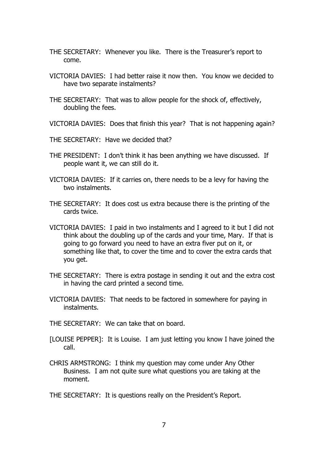- THE SECRETARY: Whenever you like. There is the Treasurer's report to come.
- VICTORIA DAVIES: I had better raise it now then. You know we decided to have two separate instalments?
- THE SECRETARY: That was to allow people for the shock of, effectively, doubling the fees.
- VICTORIA DAVIES: Does that finish this year? That is not happening again?
- THE SECRETARY: Have we decided that?
- THE PRESIDENT: I don't think it has been anything we have discussed. If people want it, we can still do it.
- VICTORIA DAVIES: If it carries on, there needs to be a levy for having the two instalments.
- THE SECRETARY: It does cost us extra because there is the printing of the cards twice.
- VICTORIA DAVIES: I paid in two instalments and I agreed to it but I did not think about the doubling up of the cards and your time, Mary. If that is going to go forward you need to have an extra fiver put on it, or something like that, to cover the time and to cover the extra cards that you get.
- THE SECRETARY: There is extra postage in sending it out and the extra cost in having the card printed a second time.
- VICTORIA DAVIES: That needs to be factored in somewhere for paying in instalments.
- THE SECRETARY: We can take that on board.
- [LOUISE PEPPER]: It is Louise. I am just letting you know I have joined the call.
- CHRIS ARMSTRONG: I think my question may come under Any Other Business. I am not quite sure what questions you are taking at the moment.

THE SECRETARY: It is questions really on the President's Report.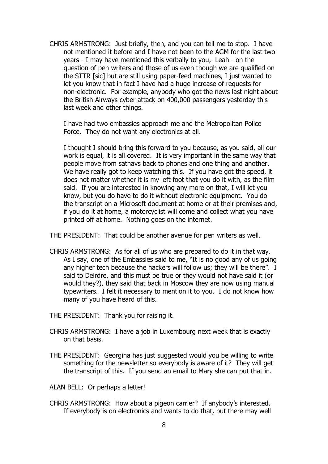CHRIS ARMSTRONG: Just briefly, then, and you can tell me to stop. I have not mentioned it before and I have not been to the AGM for the last two years - I may have mentioned this verbally to you, Leah - on the question of pen writers and those of us even though we are qualified on the STTR [sic] but are still using paper-feed machines, I just wanted to let you know that in fact I have had a huge increase of requests for non-electronic. For example, anybody who got the news last night about the British Airways cyber attack on 400,000 passengers yesterday this last week and other things.

I have had two embassies approach me and the Metropolitan Police Force. They do not want any electronics at all.

I thought I should bring this forward to you because, as you said, all our work is equal, it is all covered. It is very important in the same way that people move from satnavs back to phones and one thing and another. We have really got to keep watching this. If you have got the speed, it does not matter whether it is my left foot that you do it with, as the film said. If you are interested in knowing any more on that, I will let you know, but you do have to do it without electronic equipment. You do the transcript on a Microsoft document at home or at their premises and, if you do it at home, a motorcyclist will come and collect what you have printed off at home. Nothing goes on the internet.

THE PRESIDENT: That could be another avenue for pen writers as well.

CHRIS ARMSTRONG: As for all of us who are prepared to do it in that way. As I say, one of the Embassies said to me, "It is no good any of us going any higher tech because the hackers will follow us; they will be there". I said to Deirdre, and this must be true or they would not have said it (or would they?), they said that back in Moscow they are now using manual typewriters. I felt it necessary to mention it to you. I do not know how many of you have heard of this.

THE PRESIDENT: Thank you for raising it.

- CHRIS ARMSTRONG: I have a job in Luxembourg next week that is exactly on that basis.
- THE PRESIDENT: Georgina has just suggested would you be willing to write something for the newsletter so everybody is aware of it? They will get the transcript of this. If you send an email to Mary she can put that in.
- ALAN BELL: Or perhaps a letter!
- CHRIS ARMSTRONG: How about a pigeon carrier? If anybody's interested. If everybody is on electronics and wants to do that, but there may well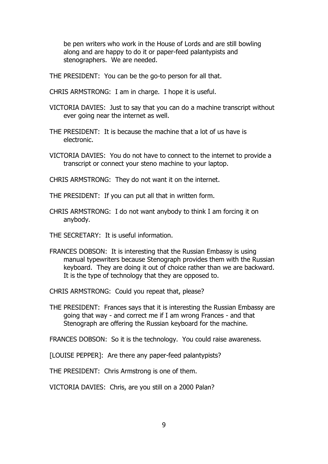be pen writers who work in the House of Lords and are still bowling along and are happy to do it or paper-feed palantypists and stenographers. We are needed.

THE PRESIDENT: You can be the go-to person for all that.

- CHRIS ARMSTRONG: I am in charge. I hope it is useful.
- VICTORIA DAVIES: Just to say that you can do a machine transcript without ever going near the internet as well.
- THE PRESIDENT: It is because the machine that a lot of us have is electronic.
- VICTORIA DAVIES: You do not have to connect to the internet to provide a transcript or connect your steno machine to your laptop.

CHRIS ARMSTRONG: They do not want it on the internet.

THE PRESIDENT: If you can put all that in written form.

CHRIS ARMSTRONG: I do not want anybody to think I am forcing it on anybody.

THE SECRETARY: It is useful information.

FRANCES DOBSON: It is interesting that the Russian Embassy is using manual typewriters because Stenograph provides them with the Russian keyboard. They are doing it out of choice rather than we are backward. It is the type of technology that they are opposed to.

CHRIS ARMSTRONG: Could you repeat that, please?

THE PRESIDENT: Frances says that it is interesting the Russian Embassy are going that way - and correct me if I am wrong Frances - and that Stenograph are offering the Russian keyboard for the machine.

FRANCES DOBSON: So it is the technology. You could raise awareness.

[LOUISE PEPPER]: Are there any paper-feed palantypists?

THE PRESIDENT: Chris Armstrong is one of them.

VICTORIA DAVIES: Chris, are you still on a 2000 Palan?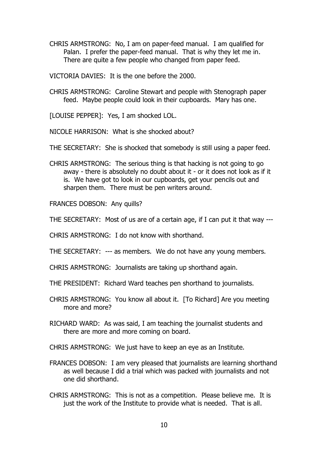CHRIS ARMSTRONG: No, I am on paper-feed manual. I am qualified for Palan. I prefer the paper-feed manual. That is why they let me in. There are quite a few people who changed from paper feed.

VICTORIA DAVIES: It is the one before the 2000.

CHRIS ARMSTRONG: Caroline Stewart and people with Stenograph paper feed. Maybe people could look in their cupboards. Mary has one.

[LOUISE PEPPER]: Yes, I am shocked LOL.

NICOLE HARRISON: What is she shocked about?

THE SECRETARY: She is shocked that somebody is still using a paper feed.

CHRIS ARMSTRONG: The serious thing is that hacking is not going to go away - there is absolutely no doubt about it - or it does not look as if it is. We have got to look in our cupboards, get your pencils out and sharpen them. There must be pen writers around.

FRANCES DOBSON: Any quills?

THE SECRETARY: Most of us are of a certain age, if I can put it that way ---

CHRIS ARMSTRONG: I do not know with shorthand.

THE SECRETARY: --- as members. We do not have any young members.

CHRIS ARMSTRONG: Journalists are taking up shorthand again.

THE PRESIDENT: Richard Ward teaches pen shorthand to journalists.

CHRIS ARMSTRONG: You know all about it. [To Richard] Are you meeting more and more?

RICHARD WARD: As was said, I am teaching the journalist students and there are more and more coming on board.

CHRIS ARMSTRONG: We just have to keep an eye as an Institute.

- FRANCES DOBSON: I am very pleased that journalists are learning shorthand as well because I did a trial which was packed with journalists and not one did shorthand.
- CHRIS ARMSTRONG: This is not as a competition. Please believe me. It is just the work of the Institute to provide what is needed. That is all.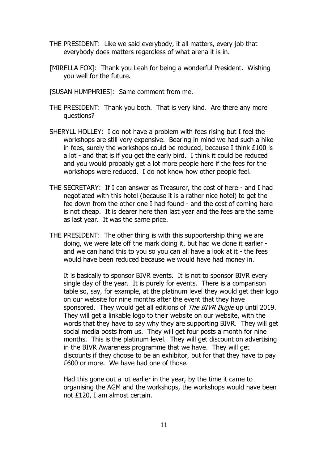- THE PRESIDENT: Like we said everybody, it all matters, every job that everybody does matters regardless of what arena it is in.
- [MIRELLA FOX]: Thank you Leah for being a wonderful President. Wishing you well for the future.
- [SUSAN HUMPHRIES]: Same comment from me.
- THE PRESIDENT: Thank you both. That is very kind. Are there any more questions?
- SHERYLL HOLLEY: I do not have a problem with fees rising but I feel the workshops are still very expensive. Bearing in mind we had such a hike in fees, surely the workshops could be reduced, because I think £100 is a lot - and that is if you get the early bird. I think it could be reduced and you would probably get a lot more people here if the fees for the workshops were reduced. I do not know how other people feel.
- THE SECRETARY: If I can answer as Treasurer, the cost of here and I had negotiated with this hotel (because it is a rather nice hotel) to get the fee down from the other one I had found - and the cost of coming here is not cheap. It is dearer here than last year and the fees are the same as last year. It was the same price.
- THE PRESIDENT: The other thing is with this supportership thing we are doing, we were late off the mark doing it, but had we done it earlier and we can hand this to you so you can all have a look at it - the fees would have been reduced because we would have had money in.

It is basically to sponsor BIVR events. It is not to sponsor BIVR every single day of the year. It is purely for events. There is a comparison table so, say, for example, at the platinum level they would get their logo on our website for nine months after the event that they have sponsored. They would get all editions of The BIVR Bugle up until 2019. They will get a linkable logo to their website on our website, with the words that they have to say why they are supporting BIVR. They will get social media posts from us. They will get four posts a month for nine months. This is the platinum level. They will get discount on advertising in the BIVR Awareness programme that we have. They will get discounts if they choose to be an exhibitor, but for that they have to pay £600 or more. We have had one of those.

Had this gone out a lot earlier in the year, by the time it came to organising the AGM and the workshops, the workshops would have been not £120, I am almost certain.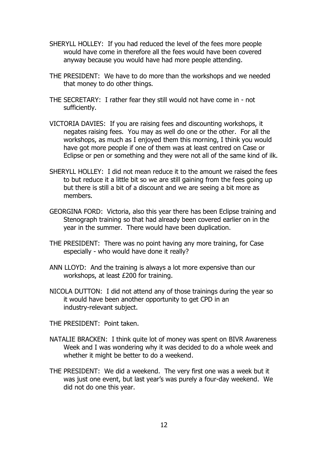- SHERYLL HOLLEY: If you had reduced the level of the fees more people would have come in therefore all the fees would have been covered anyway because you would have had more people attending.
- THE PRESIDENT: We have to do more than the workshops and we needed that money to do other things.
- THE SECRETARY: I rather fear they still would not have come in not sufficiently.
- VICTORIA DAVIES: If you are raising fees and discounting workshops, it negates raising fees. You may as well do one or the other. For all the workshops, as much as I enjoyed them this morning, I think you would have got more people if one of them was at least centred on Case or Eclipse or pen or something and they were not all of the same kind of ilk.
- SHERYLL HOLLEY: I did not mean reduce it to the amount we raised the fees to but reduce it a little bit so we are still gaining from the fees going up but there is still a bit of a discount and we are seeing a bit more as members.
- GEORGINA FORD: Victoria, also this year there has been Eclipse training and Stenograph training so that had already been covered earlier on in the year in the summer. There would have been duplication.
- THE PRESIDENT: There was no point having any more training, for Case especially - who would have done it really?
- ANN LLOYD: And the training is always a lot more expensive than our workshops, at least £200 for training.
- NICOLA DUTTON: I did not attend any of those trainings during the year so it would have been another opportunity to get CPD in an industry-relevant subject.

THE PRESIDENT: Point taken.

- NATALIE BRACKEN: I think quite lot of money was spent on BIVR Awareness Week and I was wondering why it was decided to do a whole week and whether it might be better to do a weekend.
- THE PRESIDENT: We did a weekend. The very first one was a week but it was just one event, but last year's was purely a four-day weekend. We did not do one this year.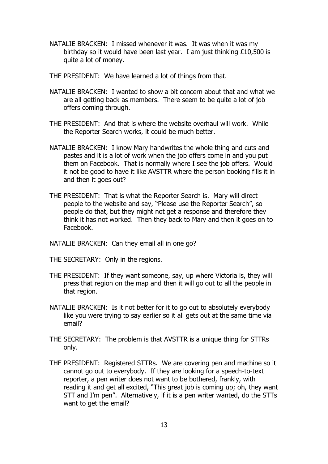NATALIE BRACKEN: I missed whenever it was. It was when it was my birthday so it would have been last year. I am just thinking £10,500 is quite a lot of money.

THE PRESIDENT: We have learned a lot of things from that.

- NATALIE BRACKEN: I wanted to show a bit concern about that and what we are all getting back as members. There seem to be quite a lot of job offers coming through.
- THE PRESIDENT: And that is where the website overhaul will work. While the Reporter Search works, it could be much better.
- NATALIE BRACKEN: I know Mary handwrites the whole thing and cuts and pastes and it is a lot of work when the job offers come in and you put them on Facebook. That is normally where I see the job offers. Would it not be good to have it like AVSTTR where the person booking fills it in and then it goes out?
- THE PRESIDENT: That is what the Reporter Search is. Mary will direct people to the website and say, "Please use the Reporter Search", so people do that, but they might not get a response and therefore they think it has not worked. Then they back to Mary and then it goes on to Facebook.

NATALIE BRACKEN: Can they email all in one go?

THE SECRETARY: Only in the regions.

- THE PRESIDENT: If they want someone, say, up where Victoria is, they will press that region on the map and then it will go out to all the people in that region.
- NATALIE BRACKEN: Is it not better for it to go out to absolutely everybody like you were trying to say earlier so it all gets out at the same time via email?
- THE SECRETARY: The problem is that AVSTTR is a unique thing for STTRs only.
- THE PRESIDENT: Registered STTRs. We are covering pen and machine so it cannot go out to everybody. If they are looking for a speech-to-text reporter, a pen writer does not want to be bothered, frankly, with reading it and get all excited, "This great job is coming up; oh, they want STT and I'm pen". Alternatively, if it is a pen writer wanted, do the STTs want to get the email?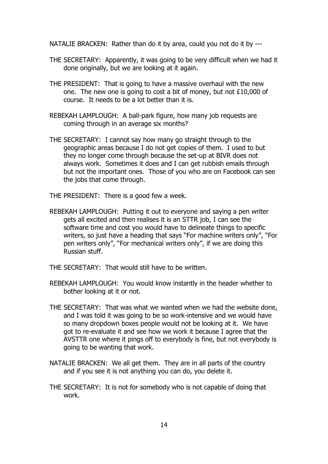NATALIE BRACKEN: Rather than do it by area, could you not do it by ---

- THE SECRETARY: Apparently, it was going to be very difficult when we had it done originally, but we are looking at it again.
- THE PRESIDENT: That is going to have a massive overhaul with the new one. The new one is going to cost a bit of money, but not £10,000 of course. It needs to be a lot better than it is.
- REBEKAH LAMPLOUGH: A ball-park figure, how many job requests are coming through in an average six months?
- THE SECRETARY: I cannot say how many go straight through to the geographic areas because I do not get copies of them. I used to but they no longer come through because the set-up at BIVR does not always work. Sometimes it does and I can get rubbish emails through but not the important ones. Those of you who are on Facebook can see the jobs that come through.
- THE PRESIDENT: There is a good few a week.
- REBEKAH LAMPLOUGH: Putting it out to everyone and saying a pen writer gets all excited and then realises it is an STTR job, I can see the software time and cost you would have to delineate things to specific writers, so just have a heading that says "For machine writers only", "For pen writers only", "For mechanical writers only", if we are doing this Russian stuff.
- THE SECRETARY: That would still have to be written.
- REBEKAH LAMPLOUGH: You would know instantly in the header whether to bother looking at it or not.
- THE SECRETARY: That was what we wanted when we had the website done, and I was told it was going to be so work-intensive and we would have so many dropdown boxes people would not be looking at it. We have got to re-evaluate it and see how we work it because I agree that the AVSTTR one where it pings off to everybody is fine, but not everybody is going to be wanting that work.
- NATALIE BRACKEN: We all get them. They are in all parts of the country and if you see it is not anything you can do, you delete it.
- THE SECRETARY: It is not for somebody who is not capable of doing that work.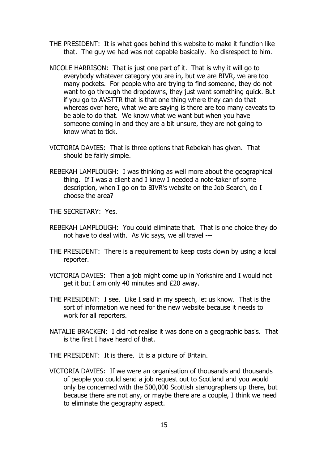- THE PRESIDENT: It is what goes behind this website to make it function like that. The guy we had was not capable basically. No disrespect to him.
- NICOLE HARRISON: That is just one part of it. That is why it will go to everybody whatever category you are in, but we are BIVR, we are too many pockets. For people who are trying to find someone, they do not want to go through the dropdowns, they just want something quick. But if you go to AVSTTR that is that one thing where they can do that whereas over here, what we are saying is there are too many caveats to be able to do that. We know what we want but when you have someone coming in and they are a bit unsure, they are not going to know what to tick.
- VICTORIA DAVIES: That is three options that Rebekah has given. That should be fairly simple.
- REBEKAH LAMPLOUGH: I was thinking as well more about the geographical thing. If I was a client and I knew I needed a note-taker of some description, when I go on to BIVR's website on the Job Search, do I choose the area?

THE SECRETARY: Yes.

- REBEKAH LAMPLOUGH: You could eliminate that. That is one choice they do not have to deal with. As Vic says, we all travel ---
- THE PRESIDENT: There is a requirement to keep costs down by using a local reporter.
- VICTORIA DAVIES: Then a job might come up in Yorkshire and I would not get it but I am only 40 minutes and £20 away.
- THE PRESIDENT: I see. Like I said in my speech, let us know. That is the sort of information we need for the new website because it needs to work for all reporters.
- NATALIE BRACKEN: I did not realise it was done on a geographic basis. That is the first I have heard of that.
- THE PRESIDENT: It is there. It is a picture of Britain.
- VICTORIA DAVIES: If we were an organisation of thousands and thousands of people you could send a job request out to Scotland and you would only be concerned with the 500,000 Scottish stenographers up there, but because there are not any, or maybe there are a couple, I think we need to eliminate the geography aspect.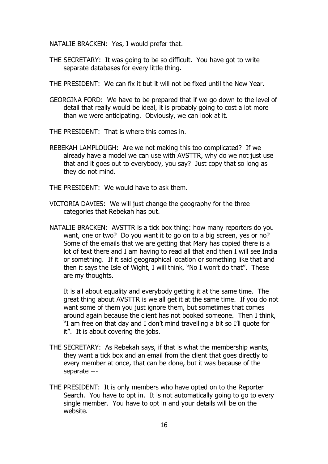NATALIE BRACKEN: Yes, I would prefer that.

- THE SECRETARY: It was going to be so difficult. You have got to write separate databases for every little thing.
- THE PRESIDENT: We can fix it but it will not be fixed until the New Year.
- GEORGINA FORD: We have to be prepared that if we go down to the level of detail that really would be ideal, it is probably going to cost a lot more than we were anticipating. Obviously, we can look at it.
- THE PRESIDENT: That is where this comes in.
- REBEKAH LAMPLOUGH: Are we not making this too complicated? If we already have a model we can use with AVSTTR, why do we not just use that and it goes out to everybody, you say? Just copy that so long as they do not mind.
- THE PRESIDENT: We would have to ask them.
- VICTORIA DAVIES: We will just change the geography for the three categories that Rebekah has put.
- NATALIE BRACKEN: AVSTTR is a tick box thing: how many reporters do you want, one or two? Do you want it to go on to a big screen, yes or no? Some of the emails that we are getting that Mary has copied there is a lot of text there and I am having to read all that and then I will see India or something. If it said geographical location or something like that and then it says the Isle of Wight, I will think, "No I won't do that". These are my thoughts.

It is all about equality and everybody getting it at the same time. The great thing about AVSTTR is we all get it at the same time. If you do not want some of them you just ignore them, but sometimes that comes around again because the client has not booked someone. Then I think, "I am free on that day and I don't mind travelling a bit so I'll quote for it". It is about covering the jobs.

- THE SECRETARY: As Rebekah says, if that is what the membership wants, they want a tick box and an email from the client that goes directly to every member at once, that can be done, but it was because of the separate ---
- THE PRESIDENT: It is only members who have opted on to the Reporter Search. You have to opt in. It is not automatically going to go to every single member. You have to opt in and your details will be on the website.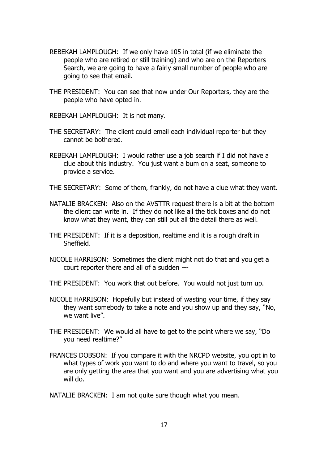- REBEKAH LAMPLOUGH: If we only have 105 in total (if we eliminate the people who are retired or still training) and who are on the Reporters Search, we are going to have a fairly small number of people who are going to see that email.
- THE PRESIDENT: You can see that now under Our Reporters, they are the people who have opted in.

REBEKAH LAMPLOUGH: It is not many.

- THE SECRETARY: The client could email each individual reporter but they cannot be bothered.
- REBEKAH LAMPLOUGH: I would rather use a job search if I did not have a clue about this industry. You just want a bum on a seat, someone to provide a service.
- THE SECRETARY: Some of them, frankly, do not have a clue what they want.
- NATALIE BRACKEN: Also on the AVSTTR request there is a bit at the bottom the client can write in. If they do not like all the tick boxes and do not know what they want, they can still put all the detail there as well.
- THE PRESIDENT: If it is a deposition, realtime and it is a rough draft in Sheffield.
- NICOLE HARRISON: Sometimes the client might not do that and you get a court reporter there and all of a sudden ---
- THE PRESIDENT: You work that out before. You would not just turn up.
- NICOLE HARRISON: Hopefully but instead of wasting your time, if they say they want somebody to take a note and you show up and they say, "No, we want live".
- THE PRESIDENT: We would all have to get to the point where we say, "Do you need realtime?"
- FRANCES DOBSON: If you compare it with the NRCPD website, you opt in to what types of work you want to do and where you want to travel, so you are only getting the area that you want and you are advertising what you will do.

NATALIE BRACKEN: I am not quite sure though what you mean.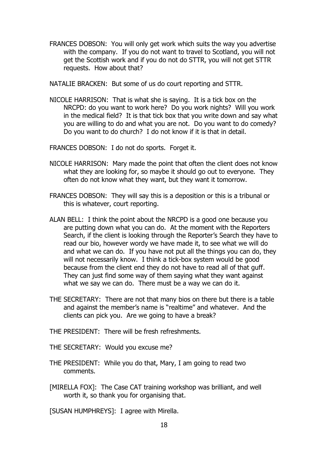FRANCES DOBSON: You will only get work which suits the way you advertise with the company. If you do not want to travel to Scotland, you will not get the Scottish work and if you do not do STTR, you will not get STTR requests. How about that?

NATALIE BRACKEN: But some of us do court reporting and STTR.

NICOLE HARRISON: That is what she is saying. It is a tick box on the NRCPD: do you want to work here? Do you work nights? Will you work in the medical field? It is that tick box that you write down and say what you are willing to do and what you are not. Do you want to do comedy? Do you want to do church? I do not know if it is that in detail.

FRANCES DOBSON: I do not do sports. Forget it.

- NICOLE HARRISON: Mary made the point that often the client does not know what they are looking for, so maybe it should go out to everyone. They often do not know what they want, but they want it tomorrow.
- FRANCES DOBSON: They will say this is a deposition or this is a tribunal or this is whatever, court reporting.
- ALAN BELL: I think the point about the NRCPD is a good one because you are putting down what you can do. At the moment with the Reporters Search, if the client is looking through the Reporter's Search they have to read our bio, however wordy we have made it, to see what we will do and what we can do. If you have not put all the things you can do, they will not necessarily know. I think a tick-box system would be good because from the client end they do not have to read all of that guff. They can just find some way of them saying what they want against what we say we can do. There must be a way we can do it.
- THE SECRETARY: There are not that many bios on there but there is a table and against the member's name is "realtime" and whatever. And the clients can pick you. Are we going to have a break?
- THE PRESIDENT: There will be fresh refreshments.
- THE SECRETARY: Would you excuse me?
- THE PRESIDENT: While you do that, Mary, I am going to read two comments.
- [MIRELLA FOX]: The Case CAT training workshop was brilliant, and well worth it, so thank you for organising that.

[SUSAN HUMPHREYS]: I agree with Mirella.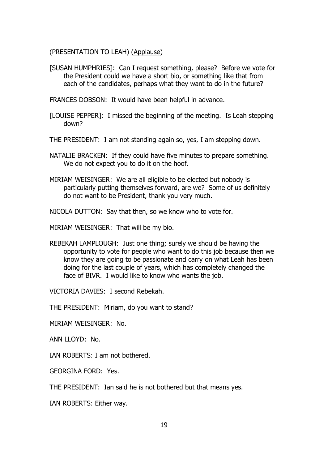(PRESENTATION TO LEAH) (Applause)

[SUSAN HUMPHRIES]: Can I request something, please? Before we vote for the President could we have a short bio, or something like that from each of the candidates, perhaps what they want to do in the future?

FRANCES DOBSON: It would have been helpful in advance.

- [LOUISE PEPPER]: I missed the beginning of the meeting. Is Leah stepping down?
- THE PRESIDENT: I am not standing again so, yes, I am stepping down.
- NATALIE BRACKEN: If they could have five minutes to prepare something. We do not expect you to do it on the hoof.
- MIRIAM WEISINGER: We are all eligible to be elected but nobody is particularly putting themselves forward, are we? Some of us definitely do not want to be President, thank you very much.

NICOLA DUTTON: Say that then, so we know who to vote for.

MIRIAM WEISINGER: That will be my bio.

REBEKAH LAMPLOUGH: Just one thing; surely we should be having the opportunity to vote for people who want to do this job because then we know they are going to be passionate and carry on what Leah has been doing for the last couple of years, which has completely changed the face of BIVR. I would like to know who wants the job.

VICTORIA DAVIES: I second Rebekah.

THE PRESIDENT: Miriam, do you want to stand?

MIRIAM WEISINGER: No.

ANN LLOYD: No.

IAN ROBERTS: I am not bothered.

GEORGINA FORD: Yes.

THE PRESIDENT: Ian said he is not bothered but that means yes.

IAN ROBERTS: Either way.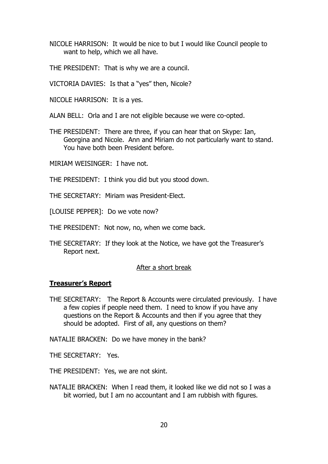NICOLE HARRISON: It would be nice to but I would like Council people to want to help, which we all have.

THE PRESIDENT: That is why we are a council.

VICTORIA DAVIES: Is that a "yes" then, Nicole?

NICOLE HARRISON: It is a yes.

ALAN BELL: Orla and I are not eligible because we were co-opted.

THE PRESIDENT: There are three, if you can hear that on Skype: Ian, Georgina and Nicole. Ann and Miriam do not particularly want to stand. You have both been President before.

MIRIAM WEISINGER: I have not.

THE PRESIDENT: I think you did but you stood down.

THE SECRETARY: Miriam was President-Elect.

[LOUISE PEPPER]: Do we vote now?

THE PRESIDENT: Not now, no, when we come back.

THE SECRETARY: If they look at the Notice, we have got the Treasurer's Report next.

#### After a short break

#### **Treasurer's Report**

THE SECRETARY: The Report & Accounts were circulated previously. I have a few copies if people need them. I need to know if you have any questions on the Report & Accounts and then if you agree that they should be adopted. First of all, any questions on them?

NATALIE BRACKEN: Do we have money in the bank?

THE SECRETARY: Yes.

THE PRESIDENT: Yes, we are not skint.

NATALIE BRACKEN: When I read them, it looked like we did not so I was a bit worried, but I am no accountant and I am rubbish with figures.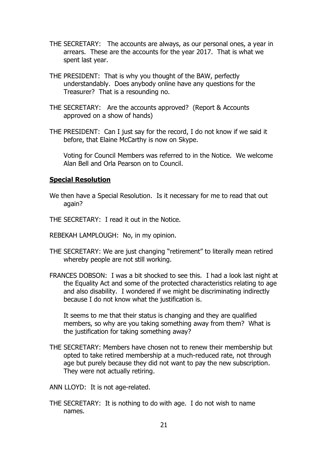- THE SECRETARY: The accounts are always, as our personal ones, a year in arrears. These are the accounts for the year 2017. That is what we spent last year.
- THE PRESIDENT: That is why you thought of the BAW, perfectly understandably. Does anybody online have any questions for the Treasurer? That is a resounding no.
- THE SECRETARY: Are the accounts approved? (Report & Accounts approved on a show of hands)
- THE PRESIDENT: Can I just say for the record, I do not know if we said it before, that Elaine McCarthy is now on Skype.

Voting for Council Members was referred to in the Notice. We welcome Alan Bell and Orla Pearson on to Council.

#### **Special Resolution**

- We then have a Special Resolution. Is it necessary for me to read that out again?
- THE SECRETARY: I read it out in the Notice.
- REBEKAH LAMPLOUGH: No, in my opinion.
- THE SECRETARY: We are just changing "retirement" to literally mean retired whereby people are not still working.
- FRANCES DOBSON: I was a bit shocked to see this. I had a look last night at the Equality Act and some of the protected characteristics relating to age and also disability. I wondered if we might be discriminating indirectly because I do not know what the justification is.

It seems to me that their status is changing and they are qualified members, so why are you taking something away from them? What is the justification for taking something away?

- THE SECRETARY: Members have chosen not to renew their membership but opted to take retired membership at a much-reduced rate, not through age but purely because they did not want to pay the new subscription. They were not actually retiring.
- ANN LLOYD: It is not age-related.
- THE SECRETARY: It is nothing to do with age. I do not wish to name names.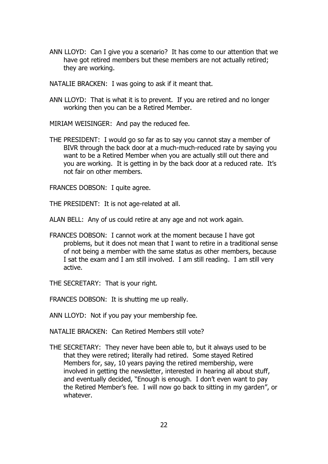ANN LLOYD: Can I give you a scenario? It has come to our attention that we have got retired members but these members are not actually retired; they are working.

NATALIE BRACKEN: I was going to ask if it meant that.

ANN LLOYD: That is what it is to prevent. If you are retired and no longer working then you can be a Retired Member.

MIRIAM WEISINGER: And pay the reduced fee.

THE PRESIDENT: I would go so far as to say you cannot stay a member of BIVR through the back door at a much-much-reduced rate by saying you want to be a Retired Member when you are actually still out there and you are working. It is getting in by the back door at a reduced rate. It's not fair on other members.

FRANCES DOBSON: I quite agree.

THE PRESIDENT: It is not age-related at all.

ALAN BELL: Any of us could retire at any age and not work again.

FRANCES DOBSON: I cannot work at the moment because I have got problems, but it does not mean that I want to retire in a traditional sense of not being a member with the same status as other members, because I sat the exam and I am still involved. I am still reading. I am still very active.

THE SECRETARY: That is your right.

FRANCES DOBSON: It is shutting me up really.

ANN LLOYD: Not if you pay your membership fee.

NATALIE BRACKEN: Can Retired Members still vote?

THE SECRETARY: They never have been able to, but it always used to be that they were retired; literally had retired. Some stayed Retired Members for, say, 10 years paying the retired membership, were involved in getting the newsletter, interested in hearing all about stuff, and eventually decided, "Enough is enough. I don't even want to pay the Retired Member's fee. I will now go back to sitting in my garden", or whatever.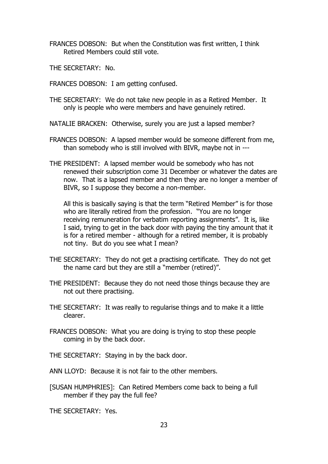- FRANCES DOBSON: But when the Constitution was first written, I think Retired Members could still vote.
- THE SECRETARY: No.
- FRANCES DOBSON: I am getting confused.
- THE SECRETARY: We do not take new people in as a Retired Member. It only is people who were members and have genuinely retired.
- NATALIE BRACKEN: Otherwise, surely you are just a lapsed member?
- FRANCES DOBSON: A lapsed member would be someone different from me, than somebody who is still involved with BIVR, maybe not in ---
- THE PRESIDENT: A lapsed member would be somebody who has not renewed their subscription come 31 December or whatever the dates are now. That is a lapsed member and then they are no longer a member of BIVR, so I suppose they become a non-member.

All this is basically saying is that the term "Retired Member" is for those who are literally retired from the profession. "You are no longer receiving remuneration for verbatim reporting assignments". It is, like I said, trying to get in the back door with paying the tiny amount that it is for a retired member - although for a retired member, it is probably not tiny. But do you see what I mean?

- THE SECRETARY: They do not get a practising certificate. They do not get the name card but they are still a "member (retired)".
- THE PRESIDENT: Because they do not need those things because they are not out there practising.
- THE SECRETARY: It was really to regularise things and to make it a little clearer.
- FRANCES DOBSON: What you are doing is trying to stop these people coming in by the back door.
- THE SECRETARY: Staying in by the back door.
- ANN LLOYD: Because it is not fair to the other members.
- [SUSAN HUMPHRIES]: Can Retired Members come back to being a full member if they pay the full fee?

THE SECRETARY: Yes.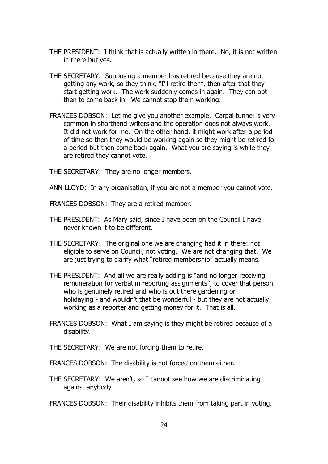- THE PRESIDENT: I think that is actually written in there. No, it is not written in there but yes.
- THE SECRETARY: Supposing a member has retired because they are not getting any work, so they think, "I'll retire then", then after that they start getting work. The work suddenly comes in again. They can opt then to come back in. We cannot stop them working.
- FRANCES DOBSON: Let me give you another example. Carpal tunnel is very common in shorthand writers and the operation does not always work. It did not work for me. On the other hand, it might work after a period of time so then they would be working again so they might be retired for a period but then come back again. What you are saying is while they are retired they cannot vote.

THE SECRETARY: They are no longer members.

ANN LLOYD: In any organisation, if you are not a member you cannot vote.

FRANCES DOBSON: They are a retired member.

- THE PRESIDENT: As Mary said, since I have been on the Council I have never known it to be different.
- THE SECRETARY: The original one we are changing had it in there: not eligible to serve on Council, not voting. We are not changing that. We are just trying to clarify what "retired membership" actually means.
- THE PRESIDENT: And all we are really adding is "and no longer receiving remuneration for verbatim reporting assignments", to cover that person who is genuinely retired and who is out there gardening or holidaying - and wouldn't that be wonderful - but they are not actually working as a reporter and getting money for it. That is all.
- FRANCES DOBSON: What I am saying is they might be retired because of a disability.
- THE SECRETARY: We are not forcing them to retire.
- FRANCES DOBSON: The disability is not forced on them either.
- THE SECRETARY: We aren't, so I cannot see how we are discriminating against anybody.

FRANCES DOBSON: Their disability inhibits them from taking part in voting.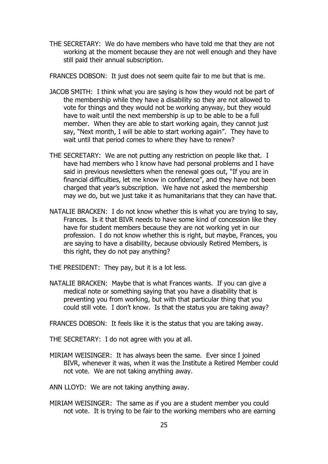THE SECRETARY: We do have members who have told me that they are not working at the moment because they are not well enough and they have still paid their annual subscription.

FRANCES DOBSON: It just does not seem quite fair to me but that is me.

- JACOB SMITH: I think what you are saying is how they would not be part of the membership while they have a disability so they are not allowed to vote for things and they would not be working anyway, but they would have to wait until the next membership is up to be able to be a full member. When they are able to start working again, they cannot just say, "Next month, I will be able to start working again". They have to wait until that period comes to where they have to renew?
- THE SECRETARY: We are not putting any restriction on people like that. I have had members who I know have had personal problems and I have said in previous newsletters when the renewal goes out, "If you are in financial difficulties, let me know in confidence", and they have not been charged that year's subscription. We have not asked the membership may we do, but we just take it as humanitarians that they can have that.
- NATALIE BRACKEN: I do not know whether this is what you are trying to say, Frances. Is it that BIVR needs to have some kind of concession like they have for student members because they are not working yet in our profession. I do not know whether this is right, but maybe, Frances, you are saying to have a disability, because obviously Retired Members, is this right, they do not pay anything?

THE PRESIDENT: They pay, but it is a lot less.

- NATALIE BRACKEN: Maybe that is what Frances wants. If you can give a medical note or something saying that you have a disability that is preventing you from working, but with that particular thing that you could still vote. I don't know. Is that the status you are taking away?
- FRANCES DOBSON: It feels like it is the status that you are taking away.

THE SECRETARY: I do not agree with you at all.

- MIRIAM WEISINGER: It has always been the same. Ever since I joined BIVR, whenever it was, when it was the Institute a Retired Member could not vote. We are not taking anything away.
- ANN LLOYD: We are not taking anything away.
- MIRIAM WEISINGER: The same as if you are a student member you could not vote. It is trying to be fair to the working members who are earning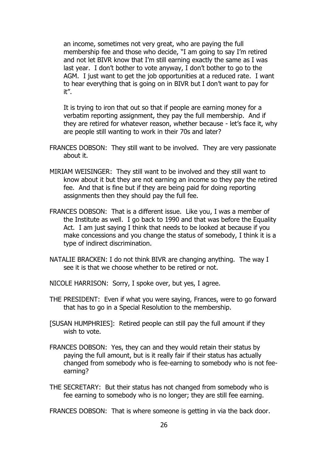an income, sometimes not very great, who are paying the full membership fee and those who decide, "I am going to say I'm retired and not let BIVR know that I'm still earning exactly the same as I was last year. I don't bother to vote anyway, I don't bother to go to the AGM. I just want to get the job opportunities at a reduced rate. I want to hear everything that is going on in BIVR but I don't want to pay for it".

It is trying to iron that out so that if people are earning money for a verbatim reporting assignment, they pay the full membership. And if they are retired for whatever reason, whether because - let's face it, why are people still wanting to work in their 70s and later?

- FRANCES DOBSON: They still want to be involved. They are very passionate about it.
- MIRIAM WEISINGER: They still want to be involved and they still want to know about it but they are not earning an income so they pay the retired fee. And that is fine but if they are being paid for doing reporting assignments then they should pay the full fee.
- FRANCES DOBSON: That is a different issue. Like you, I was a member of the Institute as well. I go back to 1990 and that was before the Equality Act. I am just saying I think that needs to be looked at because if you make concessions and you change the status of somebody, I think it is a type of indirect discrimination.
- NATALIE BRACKEN: I do not think BIVR are changing anything. The way I see it is that we choose whether to be retired or not.
- NICOLE HARRISON: Sorry, I spoke over, but yes, I agree.
- THE PRESIDENT: Even if what you were saying, Frances, were to go forward that has to go in a Special Resolution to the membership.
- [SUSAN HUMPHRIES]: Retired people can still pay the full amount if they wish to vote.
- FRANCES DOBSON: Yes, they can and they would retain their status by paying the full amount, but is it really fair if their status has actually changed from somebody who is fee-earning to somebody who is not feeearning?
- THE SECRETARY: But their status has not changed from somebody who is fee earning to somebody who is no longer; they are still fee earning.
- FRANCES DOBSON: That is where someone is getting in via the back door.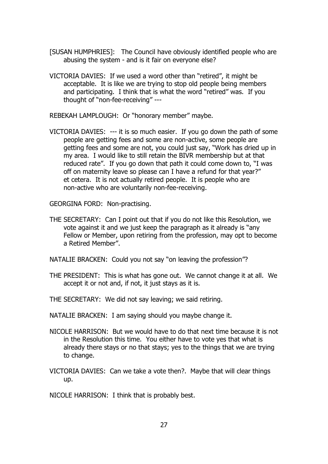- [SUSAN HUMPHRIES]: The Council have obviously identified people who are abusing the system - and is it fair on everyone else?
- VICTORIA DAVIES: If we used a word other than "retired", it might be acceptable. It is like we are trying to stop old people being members and participating. I think that is what the word "retired" was. If you thought of "non-fee-receiving" ---

REBEKAH LAMPLOUGH: Or "honorary member" maybe.

VICTORIA DAVIES: --- it is so much easier. If you go down the path of some people are getting fees and some are non-active, some people are getting fees and some are not, you could just say, "Work has dried up in my area. I would like to still retain the BIVR membership but at that reduced rate". If you go down that path it could come down to, "I was off on maternity leave so please can I have a refund for that year?" et cetera. It is not actually retired people. It is people who are non-active who are voluntarily non-fee-receiving.

GEORGINA FORD: Non-practising.

THE SECRETARY: Can I point out that if you do not like this Resolution, we vote against it and we just keep the paragraph as it already is "any Fellow or Member, upon retiring from the profession, may opt to become a Retired Member".

NATALIE BRACKEN: Could you not say "on leaving the profession"?

- THE PRESIDENT: This is what has gone out. We cannot change it at all. We accept it or not and, if not, it just stays as it is.
- THE SECRETARY: We did not say leaving; we said retiring.

NATALIE BRACKEN: I am saying should you maybe change it.

- NICOLE HARRISON: But we would have to do that next time because it is not in the Resolution this time. You either have to vote yes that what is already there stays or no that stays; yes to the things that we are trying to change.
- VICTORIA DAVIES: Can we take a vote then?. Maybe that will clear things up.

NICOLE HARRISON: I think that is probably best.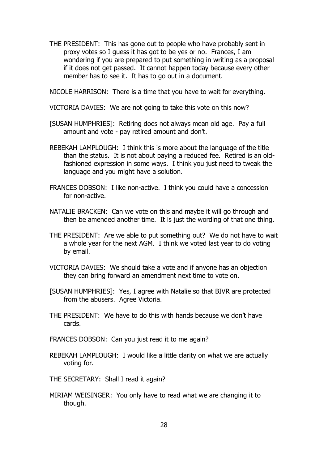THE PRESIDENT: This has gone out to people who have probably sent in proxy votes so I guess it has got to be yes or no. Frances, I am wondering if you are prepared to put something in writing as a proposal if it does not get passed. It cannot happen today because every other member has to see it. It has to go out in a document.

NICOLE HARRISON: There is a time that you have to wait for everything.

- VICTORIA DAVIES: We are not going to take this vote on this now?
- [SUSAN HUMPHRIES]: Retiring does not always mean old age. Pay a full amount and vote - pay retired amount and don't.
- REBEKAH LAMPLOUGH: I think this is more about the language of the title than the status. It is not about paying a reduced fee. Retired is an oldfashioned expression in some ways. I think you just need to tweak the language and you might have a solution.
- FRANCES DOBSON: I like non-active. I think you could have a concession for non-active.
- NATALIE BRACKEN: Can we vote on this and maybe it will go through and then be amended another time. It is just the wording of that one thing.
- THE PRESIDENT: Are we able to put something out? We do not have to wait a whole year for the next AGM. I think we voted last year to do voting by email.
- VICTORIA DAVIES: We should take a vote and if anyone has an objection they can bring forward an amendment next time to vote on.
- [SUSAN HUMPHRIES]: Yes, I agree with Natalie so that BIVR are protected from the abusers. Agree Victoria.
- THE PRESIDENT: We have to do this with hands because we don't have cards.
- FRANCES DOBSON: Can you just read it to me again?
- REBEKAH LAMPLOUGH: I would like a little clarity on what we are actually voting for.
- THE SECRETARY: Shall I read it again?
- MIRIAM WEISINGER: You only have to read what we are changing it to though.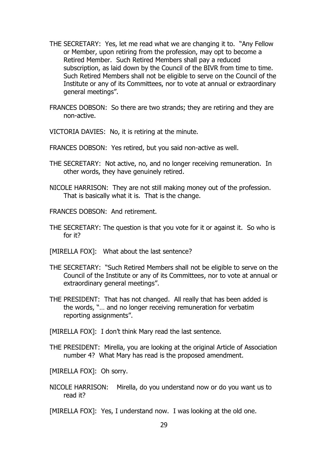- THE SECRETARY: Yes, let me read what we are changing it to. "Any Fellow or Member, upon retiring from the profession, may opt to become a Retired Member. Such Retired Members shall pay a reduced subscription, as laid down by the Council of the BIVR from time to time. Such Retired Members shall not be eligible to serve on the Council of the Institute or any of its Committees, nor to vote at annual or extraordinary general meetings".
- FRANCES DOBSON: So there are two strands; they are retiring and they are non-active.
- VICTORIA DAVIES: No, it is retiring at the minute.
- FRANCES DOBSON: Yes retired, but you said non-active as well.
- THE SECRETARY: Not active, no, and no longer receiving remuneration. In other words, they have genuinely retired.
- NICOLE HARRISON: They are not still making money out of the profession. That is basically what it is. That is the change.
- FRANCES DOBSON: And retirement.
- THE SECRETARY: The question is that you vote for it or against it. So who is for it?
- [MIRELLA FOX]: What about the last sentence?
- THE SECRETARY: "Such Retired Members shall not be eligible to serve on the Council of the Institute or any of its Committees, nor to vote at annual or extraordinary general meetings".
- THE PRESIDENT: That has not changed. All really that has been added is the words, "… and no longer receiving remuneration for verbatim reporting assignments".

[MIRELLA FOX]: I don't think Mary read the last sentence.

THE PRESIDENT: Mirella, you are looking at the original Article of Association number 4? What Mary has read is the proposed amendment.

[MIRELLA FOX]: Oh sorry.

- NICOLE HARRISON: Mirella, do you understand now or do you want us to read it?
- [MIRELLA FOX]: Yes, I understand now. I was looking at the old one.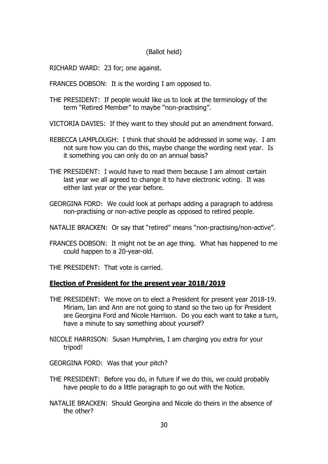### (Ballot held)

RICHARD WARD: 23 for; one against.

FRANCES DOBSON: It is the wording I am opposed to.

THE PRESIDENT: If people would like us to look at the terminology of the term "Retired Member" to maybe "non-practising".

VICTORIA DAVIES: If they want to they should put an amendment forward.

- REBECCA LAMPLOUGH: I think that should be addressed in some way. I am not sure how you can do this, maybe change the wording next year. Is it something you can only do on an annual basis?
- THE PRESIDENT: I would have to read them because I am almost certain last year we all agreed to change it to have electronic voting. It was either last year or the year before.
- GEORGINA FORD: We could look at perhaps adding a paragraph to address non-practising or non-active people as opposed to retired people.
- NATALIE BRACKEN: Or say that "retired" means "non-practising/non-active".
- FRANCES DOBSON: It might not be an age thing. What has happened to me could happen to a 20-year-old.

THE PRESIDENT: That vote is carried.

#### **Election of President for the present year 2018/2019**

- THE PRESIDENT: We move on to elect a President for present year 2018-19. Miriam, Ian and Ann are not going to stand so the two up for President are Georgina Ford and Nicole Harrison. Do you each want to take a turn, have a minute to say something about yourself?
- NICOLE HARRISON: Susan Humphries, I am charging you extra for your tripod!

GEORGINA FORD: Was that your pitch?

- THE PRESIDENT: Before you do, in future if we do this, we could probably have people to do a little paragraph to go out with the Notice.
- NATALIE BRACKEN: Should Georgina and Nicole do theirs in the absence of the other?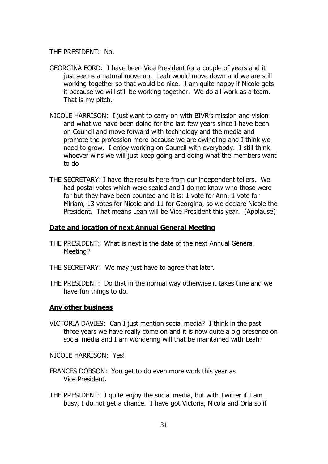THE PRESIDENT: No.

- GEORGINA FORD: I have been Vice President for a couple of years and it just seems a natural move up. Leah would move down and we are still working together so that would be nice. I am quite happy if Nicole gets it because we will still be working together. We do all work as a team. That is my pitch.
- NICOLE HARRISON: I just want to carry on with BIVR's mission and vision and what we have been doing for the last few years since I have been on Council and move forward with technology and the media and promote the profession more because we are dwindling and I think we need to grow. I enjoy working on Council with everybody. I still think whoever wins we will just keep going and doing what the members want to do
- THE SECRETARY: I have the results here from our independent tellers. We had postal votes which were sealed and I do not know who those were for but they have been counted and it is: 1 vote for Ann, 1 vote for Miriam, 13 votes for Nicole and 11 for Georgina, so we declare Nicole the President. That means Leah will be Vice President this year. (Applause)

#### **Date and location of next Annual General Meeting**

- THE PRESIDENT: What is next is the date of the next Annual General Meeting?
- THE SECRETARY: We may just have to agree that later.
- THE PRESIDENT: Do that in the normal way otherwise it takes time and we have fun things to do.

#### **Any other business**

VICTORIA DAVIES: Can I just mention social media? I think in the past three years we have really come on and it is now quite a big presence on social media and I am wondering will that be maintained with Leah?

NICOLE HARRISON: Yes!

- FRANCES DOBSON: You get to do even more work this year as Vice President.
- THE PRESIDENT: I quite enjoy the social media, but with Twitter if I am busy, I do not get a chance. I have got Victoria, Nicola and Orla so if